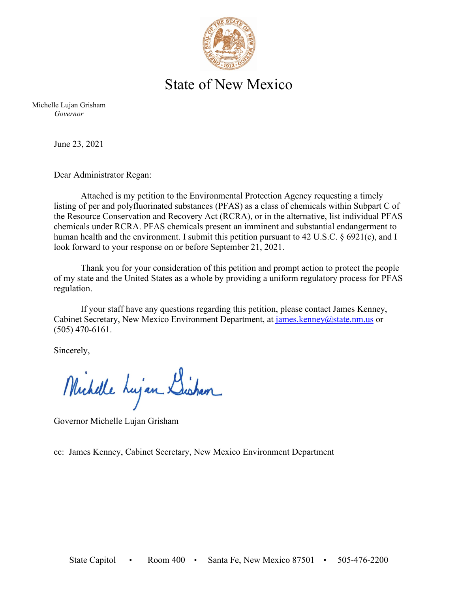

## State of New Mexico

Michelle Lujan Grisham *Governor*

June 23, 2021

Dear Administrator Regan:

Attached is my petition to the Environmental Protection Agency requesting a timely listing of per and polyfluorinated substances (PFAS) as a class of chemicals within Subpart C of the Resource Conservation and Recovery Act (RCRA), or in the alternative, list individual PFAS chemicals under RCRA. PFAS chemicals present an imminent and substantial endangerment to human health and the environment. I submit this petition pursuant to 42 U.S.C. § 6921(c), and I look forward to your response on or before September 21, 2021.

Thank you for your consideration of this petition and prompt action to protect the people of my state and the United States as a whole by providing a uniform regulatory process for PFAS regulation.

If your staff have any questions regarding this petition, please contact James Kenney, Cabinet Secretary, New Mexico Environment Department, at [james.kenney@state.nm.us](mailto:james.kenney@state.nm.us) or (505) 470-6161.

Sincerely,

Michelle Lujan Lisham

Governor Michelle Lujan Grisham

cc: James Kenney, Cabinet Secretary, New Mexico Environment Department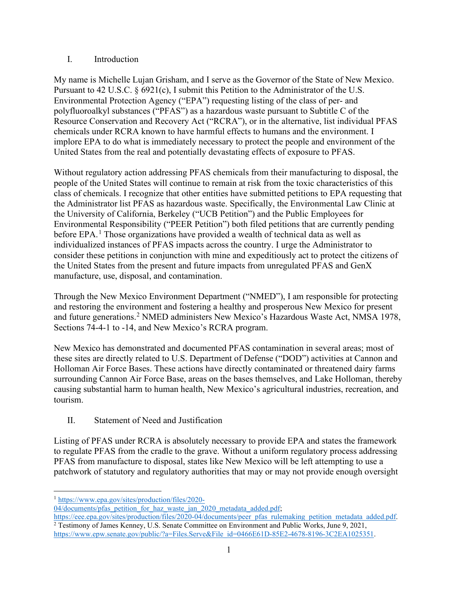## I. Introduction

My name is Michelle Lujan Grisham, and I serve as the Governor of the State of New Mexico. Pursuant to 42 U.S.C. § 6921(c), I submit this Petition to the Administrator of the U.S. Environmental Protection Agency ("EPA") requesting listing of the class of per- and polyfluoroalkyl substances ("PFAS") as a hazardous waste pursuant to Subtitle C of the Resource Conservation and Recovery Act ("RCRA"), or in the alternative, list individual PFAS chemicals under RCRA known to have harmful effects to humans and the environment. I implore EPA to do what is immediately necessary to protect the people and environment of the United States from the real and potentially devastating effects of exposure to PFAS.

Without regulatory action addressing PFAS chemicals from their manufacturing to disposal, the people of the United States will continue to remain at risk from the toxic characteristics of this class of chemicals. I recognize that other entities have submitted petitions to EPA requesting that the Administrator list PFAS as hazardous waste. Specifically, the Environmental Law Clinic at the University of California, Berkeley ("UCB Petition") and the Public Employees for Environmental Responsibility ("PEER Petition") both filed petitions that are currently pending before EPA.<sup>[1](#page-1-0)</sup> Those organizations have provided a wealth of technical data as well as individualized instances of PFAS impacts across the country. I urge the Administrator to consider these petitions in conjunction with mine and expeditiously act to protect the citizens of the United States from the present and future impacts from unregulated PFAS and GenX manufacture, use, disposal, and contamination.

Through the New Mexico Environment Department ("NMED"), I am responsible for protecting and restoring the environment and fostering a healthy and prosperous New Mexico for present and future generations.[2](#page-1-1) NMED administers New Mexico's Hazardous Waste Act, NMSA 1978, Sections 74-4-1 to -14, and New Mexico's RCRA program.

New Mexico has demonstrated and documented PFAS contamination in several areas; most of these sites are directly related to U.S. Department of Defense ("DOD") activities at Cannon and Holloman Air Force Bases. These actions have directly contaminated or threatened dairy farms surrounding Cannon Air Force Base, areas on the bases themselves, and Lake Holloman, thereby causing substantial harm to human health, New Mexico's agricultural industries, recreation, and tourism.

II. Statement of Need and Justification

Listing of PFAS under RCRA is absolutely necessary to provide EPA and states the framework to regulate PFAS from the cradle to the grave. Without a uniform regulatory process addressing PFAS from manufacture to disposal, states like New Mexico will be left attempting to use a patchwork of statutory and regulatory authorities that may or may not provide enough oversight

<span id="page-1-0"></span><sup>1</sup> [https://www.epa.gov/sites/production/files/2020-](https://www.epa.gov/sites/production/files/2020-04/documents/pfas_petition_for_haz_waste_jan_2020_metadata_added.pdf)

[<sup>04/</sup>documents/pfas\\_petition\\_for\\_haz\\_waste\\_jan\\_2020\\_metadata\\_added.pdf;](https://www.epa.gov/sites/production/files/2020-04/documents/pfas_petition_for_haz_waste_jan_2020_metadata_added.pdf)

<span id="page-1-1"></span>[https://eee.epa.gov/sites/production/files/2020-04/documents/peer\\_pfas\\_rulemaking\\_petition\\_metadata\\_added.pdf.](https://eee.epa.gov/sites/production/files/2020-04/documents/peer_pfas_rulemaking_petition_metadata_added.pdf) <sup>2</sup> Testimony of James Kenney, U.S. Senate Committee on Environment and Public Works, June 9, 2021, [https://www.epw.senate.gov/public/?a=Files.Serve&File\\_id=0466E61D-85E2-4678-8196-3C2EA1025351.](https://www.epw.senate.gov/public/?a=Files.Serve&File_id=0466E61D-85E2-4678-8196-3C2EA1025351)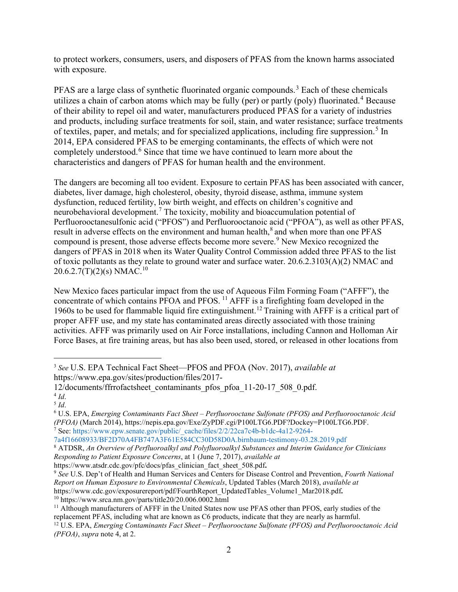to protect workers, consumers, users, and disposers of PFAS from the known harms associated with exposure.

PFAS are a large class of synthetic fluorinated organic compounds.<sup>[3](#page-2-0)</sup> Each of these chemicals utilizes a chain of carbon atoms which may be fully (per) or partly (poly) fluorinated.<sup>[4](#page-2-1)</sup> Because of their ability to repel oil and water, manufacturers produced PFAS for a variety of industries and products, including surface treatments for soil, stain, and water resistance; surface treatments of textiles, paper, and metals; and for specialized applications, including fire suppression.<sup>[5](#page-2-2)</sup> In 2014, EPA considered PFAS to be emerging contaminants, the effects of which were not completely understood.<sup>[6](#page-2-3)</sup> Since that time we have continued to learn more about the characteristics and dangers of PFAS for human health and the environment.

The dangers are becoming all too evident. Exposure to certain PFAS has been associated with cancer, diabetes, liver damage, high cholesterol, obesity, thyroid disease, asthma, immune system dysfunction, reduced fertility, low birth weight, and effects on children's cognitive and neurobehavioral development.<sup>[7](#page-2-4)</sup> The toxicity, mobility and bioaccumulation potential of Perfluorooctanesulfonic acid ("PFOS") and Perfluorooctanoic acid ("PFOA"), as well as other PFAS, result in adverse effects on the environment and human health,<sup>[8](#page-2-5)</sup> and when more than one PFAS compound is present, those adverse effects become more severe.<sup>[9](#page-2-6)</sup> New Mexico recognized the dangers of PFAS in 2018 when its Water Quality Control Commission added three PFAS to the list of toxic pollutants as they relate to ground water and surface water. 20.6.2.3103(A)(2) NMAC and 20.6.2.7(T)(2)(s) NMAC.<sup>[10](#page-2-7)</sup>

New Mexico faces particular impact from the use of Aqueous Film Forming Foam ("AFFF"), the concentrate of which contains PFOA and PFOS. <sup>[11](#page-2-8)</sup> AFFF is a firefighting foam developed in the 1960s to be used for flammable liquid fire extinguishment.[12](#page-2-9) Training with AFFF is a critical part of proper AFFF use, and my state has contaminated areas directly associated with those training activities. AFFF was primarily used on Air Force installations, including Cannon and Holloman Air Force Bases, at fire training areas, but has also been used, stored, or released in other locations from

<span id="page-2-4"></span><sup>7</sup> See: https://www.epw.senate.gov/public/\_cache/files/2/2/22ca7c4b-b1dc-4a12-9264-

<span id="page-2-5"></span><sup>8</sup> ATDSR, An Overview of Perfluoroalkyl and Polyfluoroalkyl Substances and Interim Guidance for Clinicians *Responding to Patient Exposure Concerns*, at 1 (June 7, 2017), *available at* 

https://www.atsdr.cdc.gov/pfc/docs/pfas\_clinician\_fact\_sheet\_508.pdf**.** 

<span id="page-2-0"></span><sup>3</sup> *See* U.S. EPA Technical Fact Sheet—PFOS and PFOA (Nov. 2017), *available at*  https://www.epa.gov/sites/production/files/2017-

<span id="page-2-1"></span><sup>12/</sup>documents/ffrrofactsheet\_contaminants\_pfos\_pfoa\_11-20-17\_508\_0.pdf. 4 *Id*.

<span id="page-2-2"></span><sup>5</sup> *Id*.

<span id="page-2-3"></span><sup>6</sup> U.S. EPA, *Emerging Contaminants Fact Sheet – Perfluorooctane Sulfonate (PFOS) and Perfluorooctanoic Acid (PFOA)* (March 2014), https://nepis.epa.gov/Exe/ZyPDF.cgi/P100LTG6.PDF?Dockey=P100LTG6.PDF.

<span id="page-2-6"></span><sup>9</sup> *See* U.S. Dep't of Health and Human Services and Centers for Disease Control and Prevention, *Fourth National Report on Human Exposure to Environmental Chemicals*, Updated Tables (March 2018), *available at*  https://www.cdc.gov/exposurereport/pdf/FourthReport\_UpdatedTables\_Volume1\_Mar2018.pdf**.**  $10$  https://www.srca.nm.gov/parts/title20/20.006.0002.html

<span id="page-2-8"></span><span id="page-2-7"></span><sup>&</sup>lt;sup>11</sup> Although manufacturers of AFFF in the United States now use PFAS other than PFOS, early studies of the replacement PFAS, including what are known as C6 products, indicate that they are nearly as harmful.

<span id="page-2-9"></span><sup>12</sup> U.S. EPA, *Emerging Contaminants Fact Sheet – Perfluorooctane Sulfonate (PFOS) and Perfluorooctanoic Acid (PFOA)*, *supra* note 4, at 2.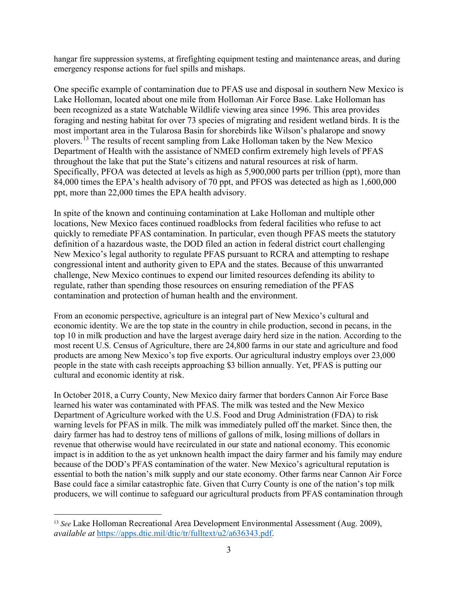hangar fire suppression systems, at firefighting equipment testing and maintenance areas, and during emergency response actions for fuel spills and mishaps.

One specific example of contamination due to PFAS use and disposal in southern New Mexico is Lake Holloman, located about one mile from Holloman Air Force Base. Lake Holloman has been recognized as a state Watchable Wildlife viewing area since 1996. This area provides foraging and nesting habitat for over 73 species of migrating and resident wetland birds. It is the most important area in the Tularosa Basin for shorebirds like Wilson's phalarope and snowy plovers.<sup>[13](#page-3-0)</sup> The results of recent sampling from Lake Holloman taken by the New Mexico Department of Health with the assistance of NMED confirm extremely high levels of PFAS throughout the lake that put the State's citizens and natural resources at risk of harm. Specifically, PFOA was detected at levels as high as 5,900,000 parts per trillion (ppt), more than 84,000 times the EPA's health advisory of 70 ppt, and PFOS was detected as high as 1,600,000 ppt, more than 22,000 times the EPA health advisory.

In spite of the known and continuing contamination at Lake Holloman and multiple other locations, New Mexico faces continued roadblocks from federal facilities who refuse to act quickly to remediate PFAS contamination. In particular, even though PFAS meets the statutory definition of a hazardous waste, the DOD filed an action in federal district court challenging New Mexico's legal authority to regulate PFAS pursuant to RCRA and attempting to reshape congressional intent and authority given to EPA and the states. Because of this unwarranted challenge, New Mexico continues to expend our limited resources defending its ability to regulate, rather than spending those resources on ensuring remediation of the PFAS contamination and protection of human health and the environment.

From an economic perspective, agriculture is an integral part of New Mexico's cultural and economic identity. We are the top state in the country in chile production, second in pecans, in the top 10 in milk production and have the largest average dairy herd size in the nation. According to the most recent U.S. Census of Agriculture, there are 24,800 farms in our state and agriculture and food products are among New Mexico's top five exports. Our agricultural industry employs over 23,000 people in the state with cash receipts approaching \$3 billion annually. Yet, PFAS is putting our cultural and economic identity at risk.

In October 2018, a Curry County, New Mexico dairy farmer that borders Cannon Air Force Base learned his water was contaminated with PFAS. The milk was tested and the New Mexico Department of Agriculture worked with the U.S. Food and Drug Administration (FDA) to risk warning levels for PFAS in milk. The milk was immediately pulled off the market. Since then, the dairy farmer has had to destroy tens of millions of gallons of milk, losing millions of dollars in revenue that otherwise would have recirculated in our state and national economy. This economic impact is in addition to the as yet unknown health impact the dairy farmer and his family may endure because of the DOD's PFAS contamination of the water. New Mexico's agricultural reputation is essential to both the nation's milk supply and our state economy. Other farms near Cannon Air Force Base could face a similar catastrophic fate. Given that Curry County is one of the nation's top milk producers, we will continue to safeguard our agricultural products from PFAS contamination through

<span id="page-3-0"></span><sup>13</sup> *See* Lake Holloman Recreational Area Development Environmental Assessment (Aug. 2009), *available at* [https://apps.dtic.mil/dtic/tr/fulltext/u2/a636343.pdf.](https://apps.dtic.mil/dtic/tr/fulltext/u2/a636343.pdf)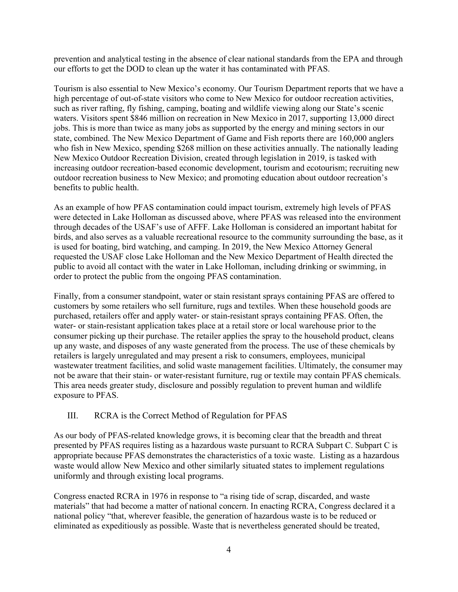prevention and analytical testing in the absence of clear national standards from the EPA and through our efforts to get the DOD to clean up the water it has contaminated with PFAS.

Tourism is also essential to New Mexico's economy. Our Tourism Department reports that we have a high percentage of out-of-state visitors who come to New Mexico for outdoor recreation activities, such as river rafting, fly fishing, camping, boating and wildlife viewing along our State's scenic waters. Visitors spent \$846 million on recreation in New Mexico in 2017, supporting 13,000 direct jobs. This is more than twice as many jobs as supported by the energy and mining sectors in our state, combined. The New Mexico Department of Game and Fish reports there are 160,000 anglers who fish in New Mexico, spending \$268 million on these activities annually. The nationally leading New Mexico Outdoor Recreation Division, created through legislation in 2019, is tasked with increasing outdoor recreation-based economic development, tourism and ecotourism; recruiting new outdoor recreation business to New Mexico; and promoting education about outdoor recreation's benefits to public health.

As an example of how PFAS contamination could impact tourism, extremely high levels of PFAS were detected in Lake Holloman as discussed above, where PFAS was released into the environment through decades of the USAF's use of AFFF. Lake Holloman is considered an important habitat for birds, and also serves as a valuable recreational resource to the community surrounding the base, as it is used for boating, bird watching, and camping. In 2019, the New Mexico Attorney General requested the USAF close Lake Holloman and the New Mexico Department of Health directed the public to avoid all contact with the water in Lake Holloman, including drinking or swimming, in order to protect the public from the ongoing PFAS contamination.

Finally, from a consumer standpoint, water or stain resistant sprays containing PFAS are offered to customers by some retailers who sell furniture, rugs and textiles. When these household goods are purchased, retailers offer and apply water- or stain-resistant sprays containing PFAS. Often, the water- or stain-resistant application takes place at a retail store or local warehouse prior to the consumer picking up their purchase. The retailer applies the spray to the household product, cleans up any waste, and disposes of any waste generated from the process. The use of these chemicals by retailers is largely unregulated and may present a risk to consumers, employees, municipal wastewater treatment facilities, and solid waste management facilities. Ultimately, the consumer may not be aware that their stain- or water-resistant furniture, rug or textile may contain PFAS chemicals. This area needs greater study, disclosure and possibly regulation to prevent human and wildlife exposure to PFAS.

## III. RCRA is the Correct Method of Regulation for PFAS

As our body of PFAS-related knowledge grows, it is becoming clear that the breadth and threat presented by PFAS requires listing as a hazardous waste pursuant to RCRA Subpart C. Subpart C is appropriate because PFAS demonstrates the characteristics of a toxic waste. Listing as a hazardous waste would allow New Mexico and other similarly situated states to implement regulations uniformly and through existing local programs.

Congress enacted RCRA in 1976 in response to "a rising tide of scrap, discarded, and waste materials" that had become a matter of national concern. In enacting RCRA, Congress declared it a national policy "that, wherever feasible, the generation of hazardous waste is to be reduced or eliminated as expeditiously as possible. Waste that is nevertheless generated should be treated,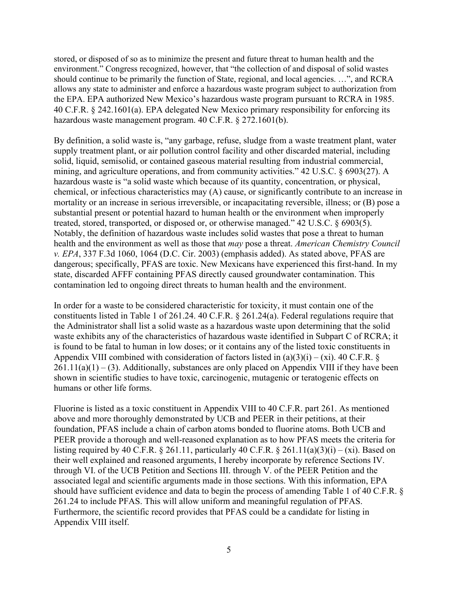stored, or disposed of so as to minimize the present and future threat to human health and the environment." Congress recognized, however, that "the collection of and disposal of solid wastes should continue to be primarily the function of State, regional, and local agencies. …", and RCRA allows any state to administer and enforce a hazardous waste program subject to authorization from the EPA. EPA authorized New Mexico's hazardous waste program pursuant to RCRA in 1985. 40 C.F.R. § 242.1601(a). EPA delegated New Mexico primary responsibility for enforcing its hazardous waste management program. 40 C.F.R. § 272.1601(b).

By definition, a solid waste is, "any garbage, refuse, sludge from a waste treatment plant, water supply treatment plant, or air pollution control facility and other discarded material, including solid, liquid, semisolid, or contained gaseous material resulting from industrial commercial, mining, and agriculture operations, and from community activities." 42 U.S.C. § 6903(27). A hazardous waste is "a solid waste which because of its quantity, concentration, or physical, chemical, or infectious characteristics may (A) cause, or significantly contribute to an increase in mortality or an increase in serious irreversible, or incapacitating reversible, illness; or (B) pose a substantial present or potential hazard to human health or the environment when improperly treated, stored, transported, or disposed or, or otherwise managed." 42 U.S.C. § 6903(5). Notably, the definition of hazardous waste includes solid wastes that pose a threat to human health and the environment as well as those that *may* pose a threat. *American Chemistry Council v. EPA*, 337 F.3d 1060, 1064 (D.C. Cir. 2003) (emphasis added). As stated above, PFAS are dangerous; specifically, PFAS are toxic. New Mexicans have experienced this first-hand. In my state, discarded AFFF containing PFAS directly caused groundwater contamination. This contamination led to ongoing direct threats to human health and the environment.

In order for a waste to be considered characteristic for toxicity, it must contain one of the constituents listed in Table 1 of 261.24. 40 C.F.R. § 261.24(a). Federal regulations require that the Administrator shall list a solid waste as a hazardous waste upon determining that the solid waste exhibits any of the characteristics of hazardous waste identified in Subpart C of RCRA; it is found to be fatal to human in low doses; or it contains any of the listed toxic constituents in Appendix VIII combined with consideration of factors listed in  $(a)(3)(i) - (xi)$ . 40 C.F.R. §  $261.11(a)(1) - (3)$ . Additionally, substances are only placed on Appendix VIII if they have been shown in scientific studies to have toxic, carcinogenic, mutagenic or teratogenic effects on humans or other life forms.

Fluorine is listed as a toxic constituent in Appendix VIII to 40 C.F.R. part 261. As mentioned above and more thoroughly demonstrated by UCB and PEER in their petitions, at their foundation, PFAS include a chain of carbon atoms bonded to fluorine atoms. Both UCB and PEER provide a thorough and well-reasoned explanation as to how PFAS meets the criteria for listing required by 40 C.F.R. § 261.11, particularly 40 C.F.R. § 261.11(a)(3)(i) – (xi). Based on their well explained and reasoned arguments, I hereby incorporate by reference Sections IV. through VI. of the UCB Petition and Sections III. through V. of the PEER Petition and the associated legal and scientific arguments made in those sections. With this information, EPA should have sufficient evidence and data to begin the process of amending Table 1 of 40 C.F.R. § 261.24 to include PFAS. This will allow uniform and meaningful regulation of PFAS. Furthermore, the scientific record provides that PFAS could be a candidate for listing in Appendix VIII itself.